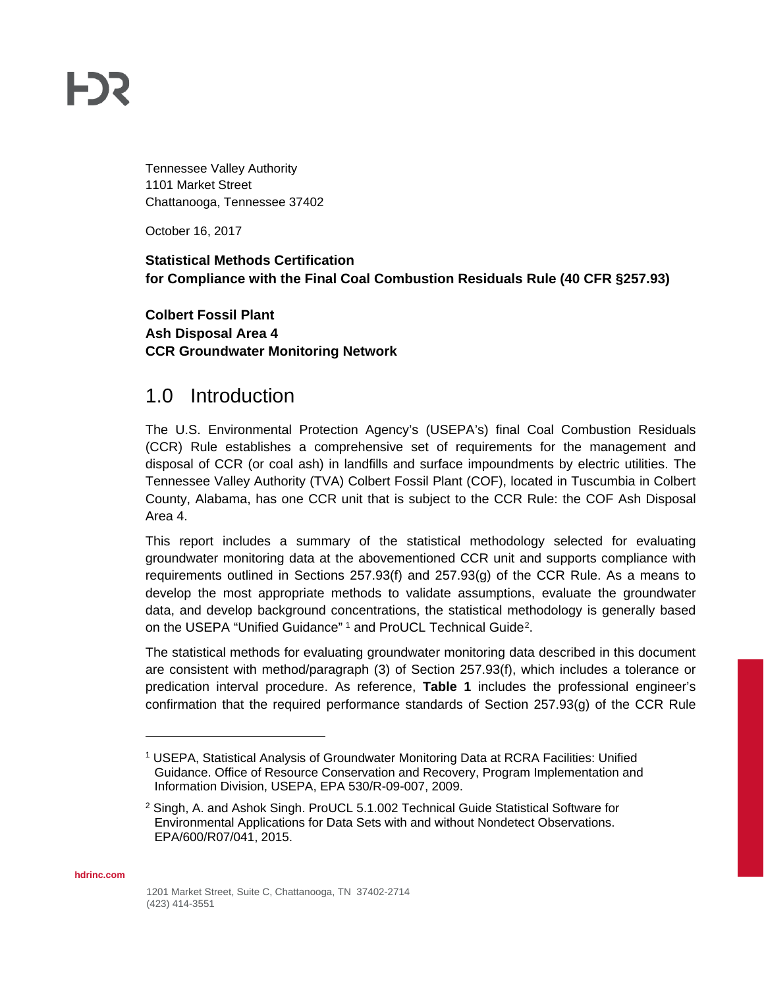# **FDS**

Tennessee Valley Authority 1101 Market Street Chattanooga, Tennessee 37402

October 16, 2017

#### **Statistical Methods Certification for Compliance with the Final Coal Combustion Residuals Rule (40 CFR §257.93)**

**Colbert Fossil Plant Ash Disposal Area 4 CCR Groundwater Monitoring Network**

#### 1.0 Introduction

The U.S. Environmental Protection Agency's (USEPA's) final Coal Combustion Residuals (CCR) Rule establishes a comprehensive set of requirements for the management and disposal of CCR (or coal ash) in landfills and surface impoundments by electric utilities. The Tennessee Valley Authority (TVA) Colbert Fossil Plant (COF), located in Tuscumbia in Colbert County, Alabama, has one CCR unit that is subject to the CCR Rule: the COF Ash Disposal Area 4.

This report includes a summary of the statistical methodology selected for evaluating groundwater monitoring data at the abovementioned CCR unit and supports compliance with requirements outlined in Sections 257.93(f) and 257.93(g) of the CCR Rule. As a means to develop the most appropriate methods to validate assumptions, evaluate the groundwater data, and develop background concentrations, the statistical methodology is generally based on the USEPA "Unified Guidance" [1](#page-0-0) and ProUCL Technical Guide<sup>[2](#page-0-1)</sup>.

The statistical methods for evaluating groundwater monitoring data described in this document are consistent with method/paragraph (3) of Section 257.93(f), which includes a tolerance or predication interval procedure. As reference, **Table 1** includes the professional engineer's confirmation that the required performance standards of Section 257.93(g) of the CCR Rule

<span id="page-0-1"></span><span id="page-0-0"></span>**hdrinc.com**

 $\overline{a}$ 

<sup>1</sup> USEPA, Statistical Analysis of Groundwater Monitoring Data at RCRA Facilities: Unified Guidance. Office of Resource Conservation and Recovery, Program Implementation and Information Division, USEPA, EPA 530/R-09-007, 2009.

<sup>2</sup> Singh, A. and Ashok Singh. ProUCL 5.1.002 Technical Guide Statistical Software for Environmental Applications for Data Sets with and without Nondetect Observations. EPA/600/R07/041, 2015.

<sup>1201</sup> Market Street, Suite C, Chattanooga, TN 37402-2714 (423) 414-3551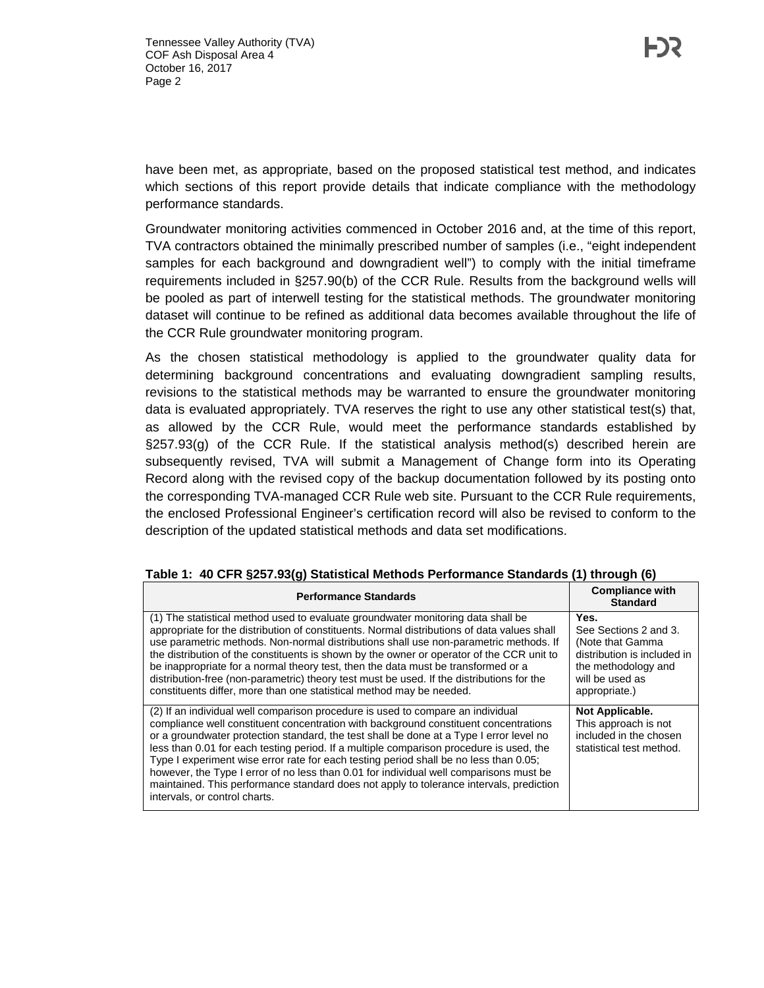have been met, as appropriate, based on the proposed statistical test method, and indicates which sections of this report provide details that indicate compliance with the methodology performance standards.

Groundwater monitoring activities commenced in October 2016 and, at the time of this report, TVA contractors obtained the minimally prescribed number of samples (i.e., "eight independent samples for each background and downgradient well") to comply with the initial timeframe requirements included in §257.90(b) of the CCR Rule. Results from the background wells will be pooled as part of interwell testing for the statistical methods. The groundwater monitoring dataset will continue to be refined as additional data becomes available throughout the life of the CCR Rule groundwater monitoring program.

As the chosen statistical methodology is applied to the groundwater quality data for determining background concentrations and evaluating downgradient sampling results, revisions to the statistical methods may be warranted to ensure the groundwater monitoring data is evaluated appropriately. TVA reserves the right to use any other statistical test(s) that, as allowed by the CCR Rule, would meet the performance standards established by §257.93(g) of the CCR Rule. If the statistical analysis method(s) described herein are subsequently revised, TVA will submit a Management of Change form into its Operating Record along with the revised copy of the backup documentation followed by its posting onto the corresponding TVA-managed CCR Rule web site. Pursuant to the CCR Rule requirements, the enclosed Professional Engineer's certification record will also be revised to conform to the description of the updated statistical methods and data set modifications.

| <b>Performance Standards</b>                                                                                                                                                                                                                                                                                                                                                                                                                                                                                                                                                                                                                                                 | <b>Compliance with</b><br><b>Standard</b>                                                                                                   |
|------------------------------------------------------------------------------------------------------------------------------------------------------------------------------------------------------------------------------------------------------------------------------------------------------------------------------------------------------------------------------------------------------------------------------------------------------------------------------------------------------------------------------------------------------------------------------------------------------------------------------------------------------------------------------|---------------------------------------------------------------------------------------------------------------------------------------------|
| (1) The statistical method used to evaluate groundwater monitoring data shall be<br>appropriate for the distribution of constituents. Normal distributions of data values shall<br>use parametric methods. Non-normal distributions shall use non-parametric methods. If<br>the distribution of the constituents is shown by the owner or operator of the CCR unit to<br>be inappropriate for a normal theory test, then the data must be transformed or a<br>distribution-free (non-parametric) theory test must be used. If the distributions for the<br>constituents differ, more than one statistical method may be needed.                                              | Yes.<br>See Sections 2 and 3.<br>(Note that Gamma<br>distribution is included in<br>the methodology and<br>will be used as<br>appropriate.) |
| (2) If an individual well comparison procedure is used to compare an individual<br>compliance well constituent concentration with background constituent concentrations<br>or a groundwater protection standard, the test shall be done at a Type I error level no<br>less than 0.01 for each testing period. If a multiple comparison procedure is used, the<br>Type I experiment wise error rate for each testing period shall be no less than 0.05;<br>however, the Type I error of no less than 0.01 for individual well comparisons must be<br>maintained. This performance standard does not apply to tolerance intervals, prediction<br>intervals, or control charts. | Not Applicable.<br>This approach is not<br>included in the chosen<br>statistical test method.                                               |

#### **Table 1: 40 CFR §257.93(g) Statistical Methods Performance Standards (1) through (6)**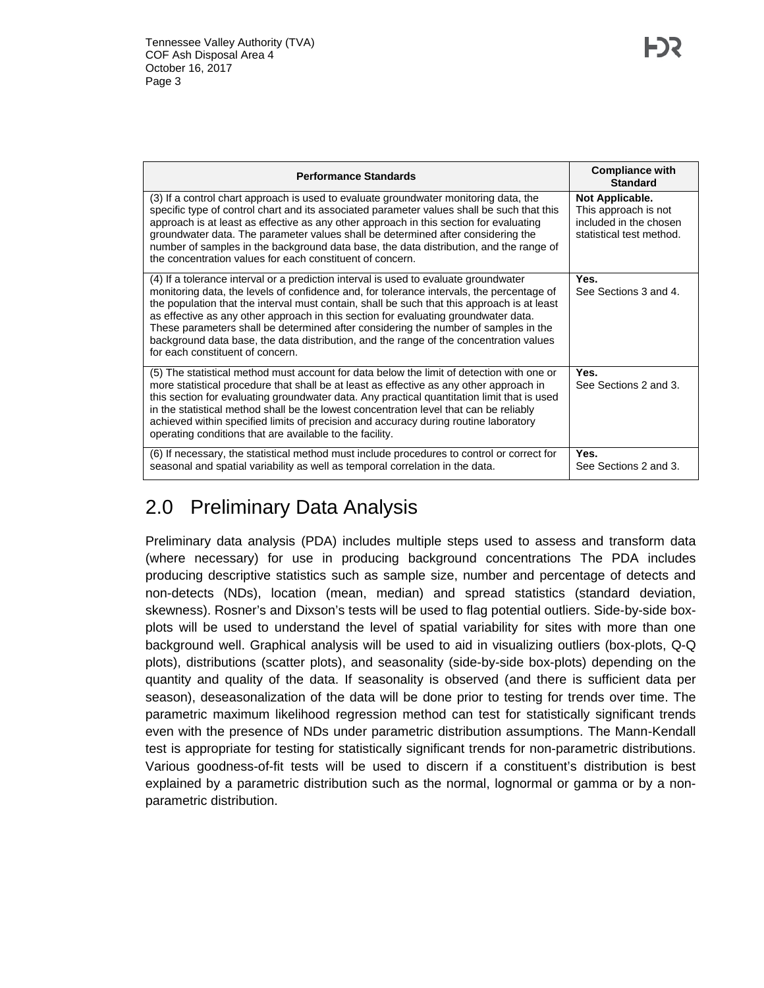| <b>Performance Standards</b>                                                                                                                                                                                                                                                                                                                                                                                                                                                                                                                                                                 | <b>Compliance with</b><br><b>Standard</b>                                                     |
|----------------------------------------------------------------------------------------------------------------------------------------------------------------------------------------------------------------------------------------------------------------------------------------------------------------------------------------------------------------------------------------------------------------------------------------------------------------------------------------------------------------------------------------------------------------------------------------------|-----------------------------------------------------------------------------------------------|
| (3) If a control chart approach is used to evaluate groundwater monitoring data, the<br>specific type of control chart and its associated parameter values shall be such that this<br>approach is at least as effective as any other approach in this section for evaluating<br>groundwater data. The parameter values shall be determined after considering the<br>number of samples in the background data base, the data distribution, and the range of<br>the concentration values for each constituent of concern.                                                                      | Not Applicable.<br>This approach is not<br>included in the chosen<br>statistical test method. |
| (4) If a tolerance interval or a prediction interval is used to evaluate groundwater<br>monitoring data, the levels of confidence and, for tolerance intervals, the percentage of<br>the population that the interval must contain, shall be such that this approach is at least<br>as effective as any other approach in this section for evaluating groundwater data.<br>These parameters shall be determined after considering the number of samples in the<br>background data base, the data distribution, and the range of the concentration values<br>for each constituent of concern. | Yes.<br>See Sections 3 and 4.                                                                 |
| (5) The statistical method must account for data below the limit of detection with one or<br>more statistical procedure that shall be at least as effective as any other approach in<br>this section for evaluating groundwater data. Any practical quantitation limit that is used<br>in the statistical method shall be the lowest concentration level that can be reliably<br>achieved within specified limits of precision and accuracy during routine laboratory<br>operating conditions that are available to the facility.                                                            | Yes.<br>See Sections 2 and 3.                                                                 |
| (6) If necessary, the statistical method must include procedures to control or correct for<br>seasonal and spatial variability as well as temporal correlation in the data.                                                                                                                                                                                                                                                                                                                                                                                                                  | Yes.<br>See Sections 2 and 3.                                                                 |

### 2.0 Preliminary Data Analysis

Preliminary data analysis (PDA) includes multiple steps used to assess and transform data (where necessary) for use in producing background concentrations The PDA includes producing descriptive statistics such as sample size, number and percentage of detects and non-detects (NDs), location (mean, median) and spread statistics (standard deviation, skewness). Rosner's and Dixson's tests will be used to flag potential outliers. Side-by-side boxplots will be used to understand the level of spatial variability for sites with more than one background well. Graphical analysis will be used to aid in visualizing outliers (box-plots, Q-Q plots), distributions (scatter plots), and seasonality (side-by-side box-plots) depending on the quantity and quality of the data. If seasonality is observed (and there is sufficient data per season), deseasonalization of the data will be done prior to testing for trends over time. The parametric maximum likelihood regression method can test for statistically significant trends even with the presence of NDs under parametric distribution assumptions. The Mann-Kendall test is appropriate for testing for statistically significant trends for non-parametric distributions. Various goodness-of-fit tests will be used to discern if a constituent's distribution is best explained by a parametric distribution such as the normal, lognormal or gamma or by a nonparametric distribution.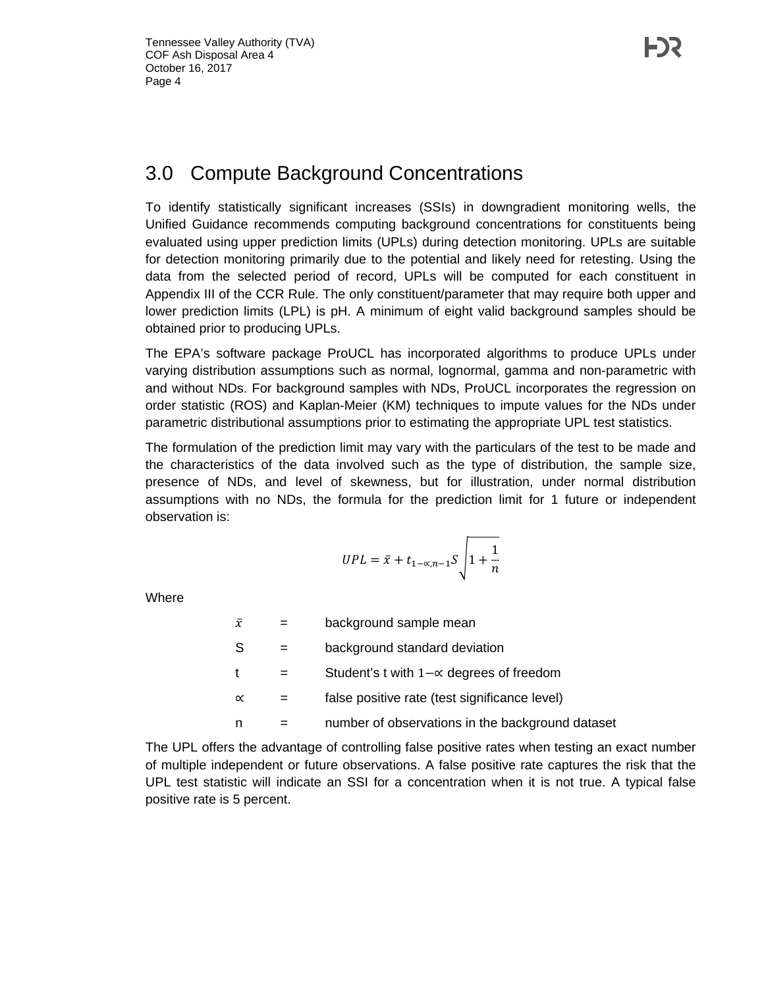#### 3.0 Compute Background Concentrations

To identify statistically significant increases (SSIs) in downgradient monitoring wells, the Unified Guidance recommends computing background concentrations for constituents being evaluated using upper prediction limits (UPLs) during detection monitoring. UPLs are suitable for detection monitoring primarily due to the potential and likely need for retesting. Using the data from the selected period of record, UPLs will be computed for each constituent in Appendix III of the CCR Rule. The only constituent/parameter that may require both upper and lower prediction limits (LPL) is pH. A minimum of eight valid background samples should be obtained prior to producing UPLs.

The EPA's software package ProUCL has incorporated algorithms to produce UPLs under varying distribution assumptions such as normal, lognormal, gamma and non-parametric with and without NDs. For background samples with NDs, ProUCL incorporates the regression on order statistic (ROS) and Kaplan-Meier (KM) techniques to impute values for the NDs under parametric distributional assumptions prior to estimating the appropriate UPL test statistics.

The formulation of the prediction limit may vary with the particulars of the test to be made and the characteristics of the data involved such as the type of distribution, the sample size, presence of NDs, and level of skewness, but for illustration, under normal distribution assumptions with no NDs, the formula for the prediction limit for 1 future or independent observation is:

$$
UPL = \bar{x} + t_{1-\alpha,n-1}S\sqrt{1+\frac{1}{n}}
$$

**Where** 

| $\bar{x}$    | background sample mean                           |
|--------------|--------------------------------------------------|
| -S           | background standard deviation                    |
| $\mathbf{t}$ | Student's t with $1-\alpha$ degrees of freedom   |
| $\propto$    | false positive rate (test significance level)    |
| n            | number of observations in the background dataset |

The UPL offers the advantage of controlling false positive rates when testing an exact number of multiple independent or future observations. A false positive rate captures the risk that the UPL test statistic will indicate an SSI for a concentration when it is not true. A typical false positive rate is 5 percent.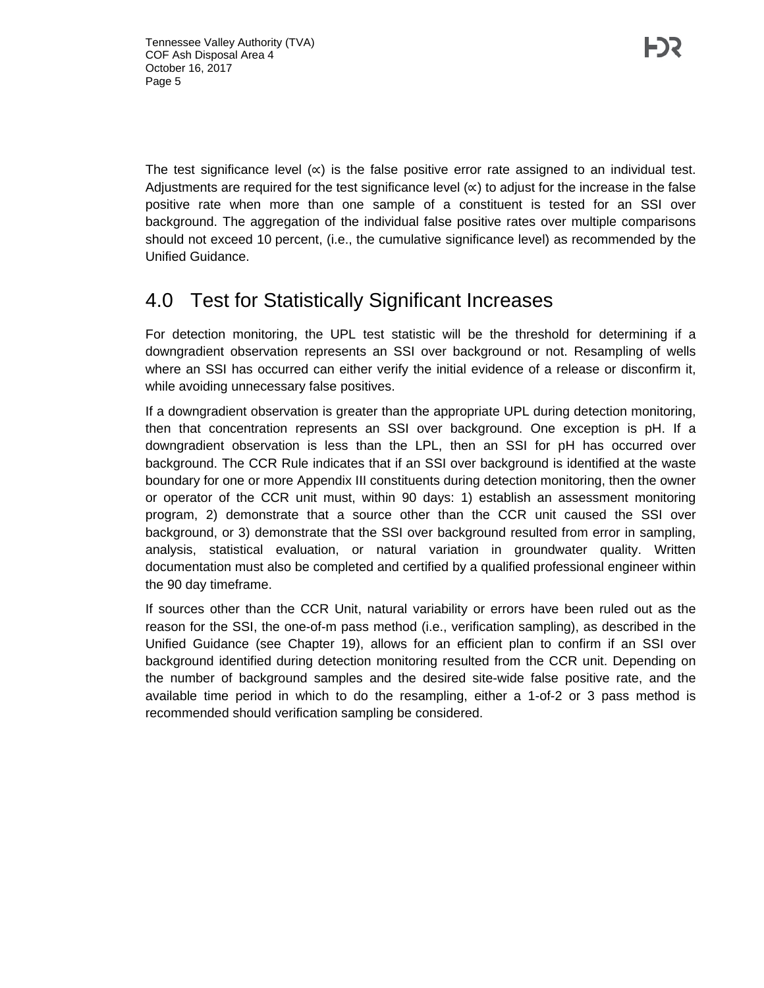The test significance level  $(x)$  is the false positive error rate assigned to an individual test. Adjustments are required for the test significance level  $(x)$  to adjust for the increase in the false positive rate when more than one sample of a constituent is tested for an SSI over background. The aggregation of the individual false positive rates over multiple comparisons should not exceed 10 percent, (i.e., the cumulative significance level) as recommended by the Unified Guidance.

#### 4.0 Test for Statistically Significant Increases

For detection monitoring, the UPL test statistic will be the threshold for determining if a downgradient observation represents an SSI over background or not. Resampling of wells where an SSI has occurred can either verify the initial evidence of a release or disconfirm it, while avoiding unnecessary false positives.

If a downgradient observation is greater than the appropriate UPL during detection monitoring, then that concentration represents an SSI over background. One exception is pH. If a downgradient observation is less than the LPL, then an SSI for pH has occurred over background. The CCR Rule indicates that if an SSI over background is identified at the waste boundary for one or more Appendix III constituents during detection monitoring, then the owner or operator of the CCR unit must, within 90 days: 1) establish an assessment monitoring program, 2) demonstrate that a source other than the CCR unit caused the SSI over background, or 3) demonstrate that the SSI over background resulted from error in sampling, analysis, statistical evaluation, or natural variation in groundwater quality. Written documentation must also be completed and certified by a qualified professional engineer within the 90 day timeframe.

If sources other than the CCR Unit, natural variability or errors have been ruled out as the reason for the SSI, the one-of-m pass method (i.e., verification sampling), as described in the Unified Guidance (see Chapter 19), allows for an efficient plan to confirm if an SSI over background identified during detection monitoring resulted from the CCR unit. Depending on the number of background samples and the desired site-wide false positive rate, and the available time period in which to do the resampling, either a 1-of-2 or 3 pass method is recommended should verification sampling be considered.